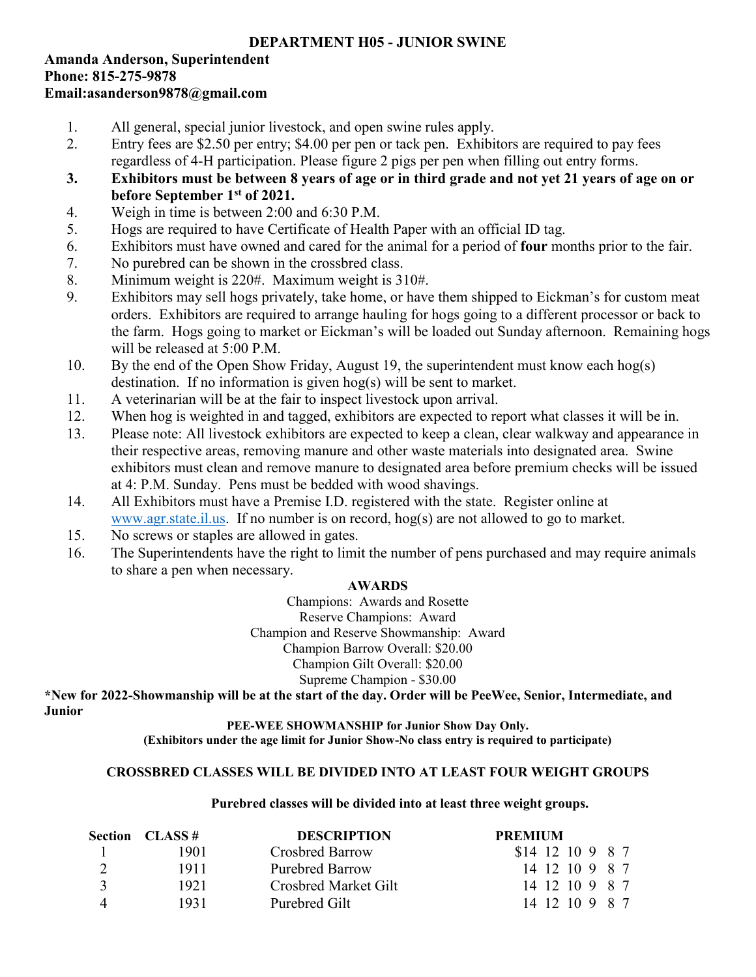# **DEPARTMENT H05 - JUNIOR SWINE**

## **Amanda Anderson, Superintendent Phone: 815-275-9878 Email:asanderson9878@gmail.com**

- 1. All general, special junior livestock, and open swine rules apply.
- 2. Entry fees are \$2.50 per entry; \$4.00 per pen or tack pen. Exhibitors are required to pay fees regardless of 4-H participation. Please figure 2 pigs per pen when filling out entry forms.
- **3. Exhibitors must be between 8 years of age or in third grade and not yet 21 years of age on or before September 1st of 2021.**
- 4. Weigh in time is between 2:00 and 6:30 P.M.
- 5. Hogs are required to have Certificate of Health Paper with an official ID tag.
- 6. Exhibitors must have owned and cared for the animal for a period of **four** months prior to the fair.
- 7. No purebred can be shown in the crossbred class.
- 8. Minimum weight is 220#. Maximum weight is 310#.
- 9. Exhibitors may sell hogs privately, take home, or have them shipped to Eickman's for custom meat orders. Exhibitors are required to arrange hauling for hogs going to a different processor or back to the farm. Hogs going to market or Eickman's will be loaded out Sunday afternoon. Remaining hogs will be released at 5:00 P.M.
- 10. By the end of the Open Show Friday, August 19, the superintendent must know each hog(s) destination. If no information is given hog(s) will be sent to market.
- 11. A veterinarian will be at the fair to inspect livestock upon arrival.
- 12. When hog is weighted in and tagged, exhibitors are expected to report what classes it will be in.
- 13. Please note: All livestock exhibitors are expected to keep a clean, clear walkway and appearance in their respective areas, removing manure and other waste materials into designated area. Swine exhibitors must clean and remove manure to designated area before premium checks will be issued at 4: P.M. Sunday. Pens must be bedded with wood shavings.
- 14. All Exhibitors must have a Premise I.D. registered with the state. Register online at [www.agr.state.il.us.](http://www.agr.state.il.us/) If no number is on record, hog(s) are not allowed to go to market.
- 15. No screws or staples are allowed in gates.
- 16. The Superintendents have the right to limit the number of pens purchased and may require animals to share a pen when necessary.

# **AWARDS**

Champions: Awards and Rosette Reserve Champions: Award Champion and Reserve Showmanship: Award Champion Barrow Overall: \$20.00 Champion Gilt Overall: \$20.00 Supreme Champion - \$30.00

**\*New for 2022-Showmanship will be at the start of the day. Order will be PeeWee, Senior, Intermediate, and Junior**

**PEE-WEE SHOWMANSHIP for Junior Show Day Only. (Exhibitors under the age limit for Junior Show-No class entry is required to participate)**

## **CROSSBRED CLASSES WILL BE DIVIDED INTO AT LEAST FOUR WEIGHT GROUPS**

## **Purebred classes will be divided into at least three weight groups.**

|               | <b>Section CLASS #</b> | <b>DESCRIPTION</b>     | <b>PREMIUM</b>   |
|---------------|------------------------|------------------------|------------------|
|               | 1901.                  | Crosbred Barrow        | \$14 12 10 9 8 7 |
|               | 1911                   | <b>Purebred Barrow</b> | 14 12 10 9 8 7   |
| $\mathcal{R}$ | 1921                   | Crosbred Market Gilt   | 14 12 10 9 8 7   |
|               | 1931                   | Purebred Gilt          | 14 12 10 9 8 7   |